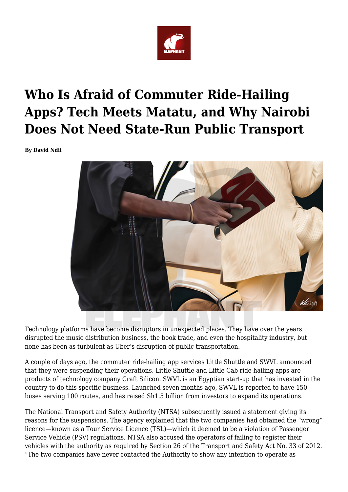

## **Who Is Afraid of Commuter Ride-Hailing Apps? Tech Meets Matatu, and Why Nairobi Does Not Need State-Run Public Transport**

**By David Ndii**



Technology platforms have become disruptors in unexpected places. They have over the years disrupted the music distribution business, the book trade, and even the hospitality industry, but none has been as turbulent as Uber's disruption of public transportation.

A couple of days ago, the commuter ride-hailing app services Little Shuttle and SWVL announced that they were suspending their operations. Little Shuttle and Little Cab ride-hailing apps are products of technology company Craft Silicon. SWVL is an Egyptian start-up that has invested in the country to do this specific business. Launched seven months ago, SWVL is reported to have 150 buses serving 100 routes, and has raised Sh1.5 billion from investors to expand its operations.

The National Transport and Safety Authority (NTSA) subsequently issued a statement giving its reasons for the suspensions. The agency explained that the two companies had obtained the "wrong" licence—known as a Tour Service Licence (TSL)—which it deemed to be a violation of Passenger Service Vehicle (PSV) regulations. NTSA also accused the operators of failing to register their vehicles with the authority as required by Section 26 of the Transport and Safety Act No. 33 of 2012. "The two companies have never contacted the Authority to show any intention to operate as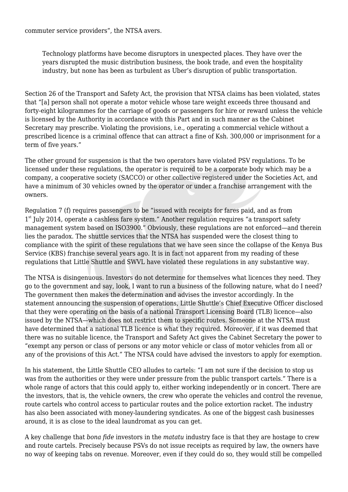commuter service providers", the NTSA avers.

Technology platforms have become disruptors in unexpected places. They have over the years disrupted the music distribution business, the book trade, and even the hospitality industry, but none has been as turbulent as Uber's disruption of public transportation.

Section 26 of the Transport and Safety Act, the provision that NTSA claims has been violated, states that "[a] person shall not operate a motor vehicle whose tare weight exceeds three thousand and forty-eight kilogrammes for the carriage of goods or passengers for hire or reward unless the vehicle is licensed by the Authority in accordance with this Part and in such manner as the Cabinet Secretary may prescribe. Violating the provisions, i.e., operating a commercial vehicle without a prescribed licence is a criminal offence that can attract a fine of Ksh. 300,000 or imprisonment for a term of five years."

The other ground for suspension is that the two operators have violated PSV regulations. To be licensed under these regulations, the operator is required to be a corporate body which may be a company, a cooperative society (SACCO) or other collective registered under the Societies Act, and have a minimum of 30 vehicles owned by the operator or under a franchise arrangement with the owners.

Regulation 7 (f) requires passengers to be "issued with receipts for fares paid, and as from 1<sup>st</sup> July 2014, operate a cashless fare system." Another regulation requires "a transport safety management system based on ISO3900." Obviously, these regulations are not enforced—and therein lies the paradox. The shuttle services that the NTSA has suspended were the closest thing to compliance with the spirit of these regulations that we have seen since the collapse of the Kenya Bus Service (KBS) franchise several years ago. It is in fact not apparent from my reading of these regulations that Little Shuttle and SWVL have violated these regulations in any substantive way.

The NTSA is disingenuous. Investors do not determine for themselves what licences they need. They go to the government and say, look, I want to run a business of the following nature, what do I need? The government then makes the determination and advises the investor accordingly. In the statement announcing the suspension of operations, Little Shuttle's Chief Executive Officer disclosed that they were operating on the basis of a national Transport Licensing Board (TLB) licence—also issued by the NTSA—which does not restrict them to specific routes. Someone at the NTSA must have determined that a national TLB licence is what they required. Moreover, if it was deemed that there was no suitable licence, the Transport and Safety Act gives the Cabinet Secretary the power to "exempt any person or class of persons or any motor vehicle or class of motor vehicles from all or any of the provisions of this Act." The NTSA could have advised the investors to apply for exemption.

In his statement, the Little Shuttle CEO alludes to cartels: "I am not sure if the decision to stop us was from the authorities or they were under pressure from the public transport cartels." There is a whole range of actors that this could apply to, either working independently or in concert. There are the investors, that is, the vehicle owners, the crew who operate the vehicles and control the revenue, route cartels who control access to particular routes and the police extortion racket. The industry has also been associated with money-laundering syndicates. As one of the biggest cash businesses around, it is as close to the ideal laundromat as you can get.

A key challenge that *bona fide* investors in the *matatu* industry face is that they are hostage to crew and route cartels. Precisely because PSVs do not issue receipts as required by law, the owners have no way of keeping tabs on revenue. Moreover, even if they could do so, they would still be compelled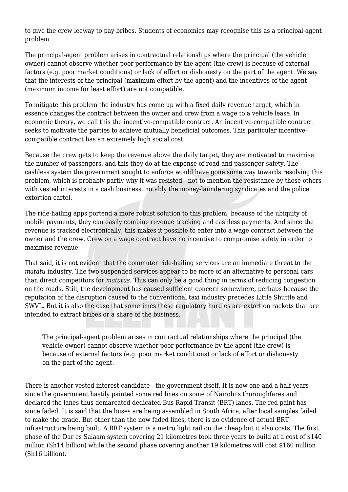to give the crew leeway to pay bribes. Students of economics may recognise this as a principal-agent problem.

The principal-agent problem arises in contractual relationships where the principal (the vehicle owner) cannot observe whether poor performance by the agent (the crew) is because of external factors (e.g. poor market conditions) or lack of effort or dishonesty on the part of the agent. We say that the interests of the principal (maximum effort by the agent) and the incentives of the agent (maximum income for least effort) are not compatible.

To mitigate this problem the industry has come up with a fixed daily revenue target, which in essence changes the contract between the owner and crew from a wage to a vehicle lease. In economic theory, we call this the incentive-compatible contract. An incentive-compatible contract seeks to motivate the parties to achieve mutually beneficial outcomes. This particular incentivecompatible contract has an extremely high social cost.

Because the crew gets to keep the revenue above the daily target, they are motivated to maximise the number of passengers, and this they do at the expense of road and passenger safety. The cashless system the government sought to enforce would have gone some way towards resolving this problem, which is probably partly why it was resisted—not to mention the resistance by those others with vested interests in a cash business, notably the money-laundering syndicates and the police extortion cartel.

The ride-hailing apps portend a more robust solution to this problem; because of the ubiquity of mobile payments, they can easily combine revenue tracking and cashless payments. And since the revenue is tracked electronically, this makes it possible to enter into a wage contract between the owner and the crew. Crew on a wage contract have no incentive to compromise safety in order to maximise revenue.

That said, it is not evident that the commuter ride-hailing services are an immediate threat to the *matatu* industry. The two suspended services appear to be more of an alternative to personal cars than direct competitors for *matatus.* This can only be a good thing in terms of reducing congestion on the roads. Still, the development has caused sufficient concern somewhere, perhaps because the reputation of the disruption caused to the conventional taxi industry precedes Little Shuttle and SWVL. But it is also the case that sometimes these regulatory hurdles are extortion rackets that are intended to extract bribes or a share of the business.

The principal-agent problem arises in contractual relationships where the principal (the vehicle owner) cannot observe whether poor performance by the agent (the crew) is because of external factors (e.g. poor market conditions) or lack of effort or dishonesty on the part of the agent.

There is another vested-interest candidate—the government itself. It is now one and a half years since the government hastily painted some red lines on some of Nairobi's thoroughfares and declared the lanes thus demarcated dedicated Bus Rapid Transit (BRT) lanes. The red paint has since faded. It is said that the buses are being assembled in South Africa, after local samples failed to make the grade. But other than the now faded lines, there is no evidence of actual BRT infrastructure being built. A BRT system is a metro light rail on the cheap but it also costs. The first phase of the Dar es Salaam system covering 21 kilometres took three years to build at a cost of \$140 million (Sh14 billion) while the second phase covering another 19 kilometres will cost \$160 million (Sh16 billion).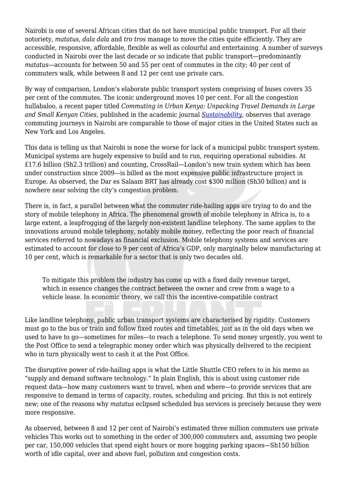Nairobi is one of several African cities that do not have municipal public transport. For all their notoriety, *matatus*, *dala dala* and *tro tros* manage to move the cities quite efficiently. They are accessible, responsive, affordable, flexible as well as colourful and entertaining. A number of surveys conducted in Nairobi over the last decade or so indicate that public transport—predominantly *matatus*—accounts for between 50 and 55 per cent of commutes in the city; 40 per cent of commuters walk, while between 8 and 12 per cent use private cars.

By way of comparison, London's elaborate public transport system comprising of buses covers 35 per cent of the commutes. The iconic underground moves 10 per cent. For all the congestion hullabaloo, a recent paper titled *Commuting in Urban Kenya: Unpacking Travel Demands in Large and Small Kenyan Cities,* published in the academic journal *[Sustainability](https://www.mdpi.com/journal/sustainability),* observes that average commuting journeys in Nairobi are comparable to those of major cities in the United States such as New York and Los Angeles.

This data is telling us that Nairobi is none the worse for lack of a municipal public transport system. Municipal systems are hugely expensive to build and to run, requiring operational subsidies. At £17.6 billion (Sh2.3 trillion) and counting, CrossRail—London's new train system which has been under construction since 2009—is billed as the most expensive public infrastructure project in Europe. As observed, the Dar es Salaam BRT has already cost \$300 million (Sh30 billion) and is nowhere near solving the city's congestion problem.

There is, in fact, a parallel between what the commuter ride-hailing apps are trying to do and the story of mobile telephony in Africa. The phenomenal growth of mobile telephony in Africa is, to a large extent, a leapfrogging of the largely non-existent landline telephony. The same applies to the innovations around mobile telephony, notably mobile money, reflecting the poor reach of financial services referred to nowadays as financial exclusion. Mobile telephony systems and services are estimated to account for close to 9 per cent of Africa's GDP, only marginally below manufacturing at 10 per cent, which is remarkable for a sector that is only two decades old.

To mitigate this problem the industry has come up with a fixed daily revenue target, which in essence changes the contract between the owner and crew from a wage to a vehicle lease. In economic theory, we call this the incentive-compatible contract

Like landline telephony, public urban transport systems are characterised by rigidity. Customers must go to the bus or train and follow fixed routes and timetables, just as in the old days when we used to have to go—sometimes for miles—to reach a telephone. To send money urgently, you went to the Post Office to send a telegraphic money order which was physically delivered to the recipient who in turn physically went to cash it at the Post Office.

The disruptive power of ride-hailing apps is what the Little Shuttle CEO refers to in his memo as "supply and demand software technology." In plain English, this is about using customer ride request data—how many customers want to travel, when and where—to provide services that are responsive to demand in terms of capacity, routes, scheduling and pricing. But this is not entirely new; one of the reasons why *matatus* eclipsed scheduled bus services is precisely because they were more responsive.

As observed, between 8 and 12 per cent of Nairobi's estimated three million commuters use private vehicles This works out to something in the order of 300,000 commuters and, assuming two people per car, 150,000 vehicles that spend eight hours or more hogging parking spaces—Sh150 billion worth of idle capital, over and above fuel, pollution and congestion costs.